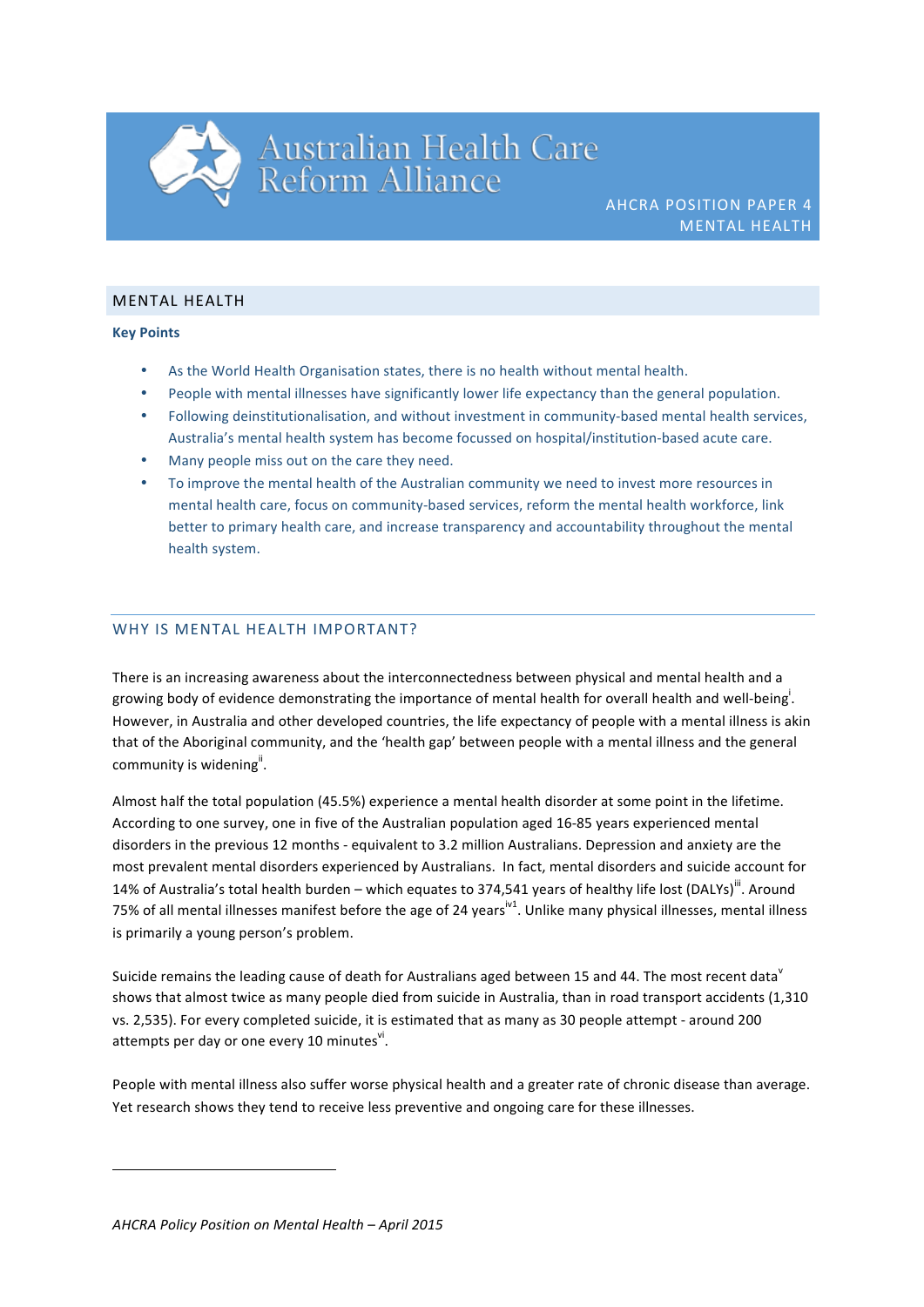# Australian Health Care<br>Reform Alliance

### **MENTAL HEALTH**

## **Key Points**

- As the World Health Organisation states, there is no health without mental health.
- People with mental illnesses have significantly lower life expectancy than the general population.
- Following deinstitutionalisation, and without investment in community-based mental health services, Australia's mental health system has become focussed on hospital/institution-based acute care.
- Many people miss out on the care they need.
- To improve the mental health of the Australian community we need to invest more resources in mental health care, focus on community-based services, reform the mental health workforce, link better to primary health care, and increase transparency and accountability throughout the mental health system.

## WHY IS MENTAL HEALTH IMPORTANT?

There is an increasing awareness about the interconnectedness between physical and mental health and a growing body of evidence demonstrating the importance of mental health for overall health and well-being<sup>i</sup>. However, in Australia and other developed countries, the life expectancy of people with a mental illness is akin that of the Aboriginal community, and the 'health gap' between people with a mental illness and the general community is widening<sup>ii</sup>.

Almost half the total population (45.5%) experience a mental health disorder at some point in the lifetime. According to one survey, one in five of the Australian population aged 16-85 years experienced mental disorders in the previous 12 months - equivalent to 3.2 million Australians. Depression and anxiety are the most prevalent mental disorders experienced by Australians. In fact, mental disorders and suicide account for 14% of Australia's total health burden – which equates to 374,541 years of healthy life lost (DALYs)<sup>III</sup>. Around 75% of all mental illnesses manifest before the age of 24 years<sup>iv1</sup>. Unlike many physical illnesses, mental illness is primarily a young person's problem.

Suicide remains the leading cause of death for Australians aged between 15 and 44. The most recent data<sup>v</sup> shows that almost twice as many people died from suicide in Australia, than in road transport accidents (1,310 vs. 2,535). For every completed suicide, it is estimated that as many as 30 people attempt - around 200 attempts per day or one every 10 minutes $^{\sf vi}$ .

People with mental illness also suffer worse physical health and a greater rate of chronic disease than average. Yet research shows they tend to receive less preventive and ongoing care for these illnesses.

<u> 1989 - Johann Stein, fransk politik (d. 1989)</u>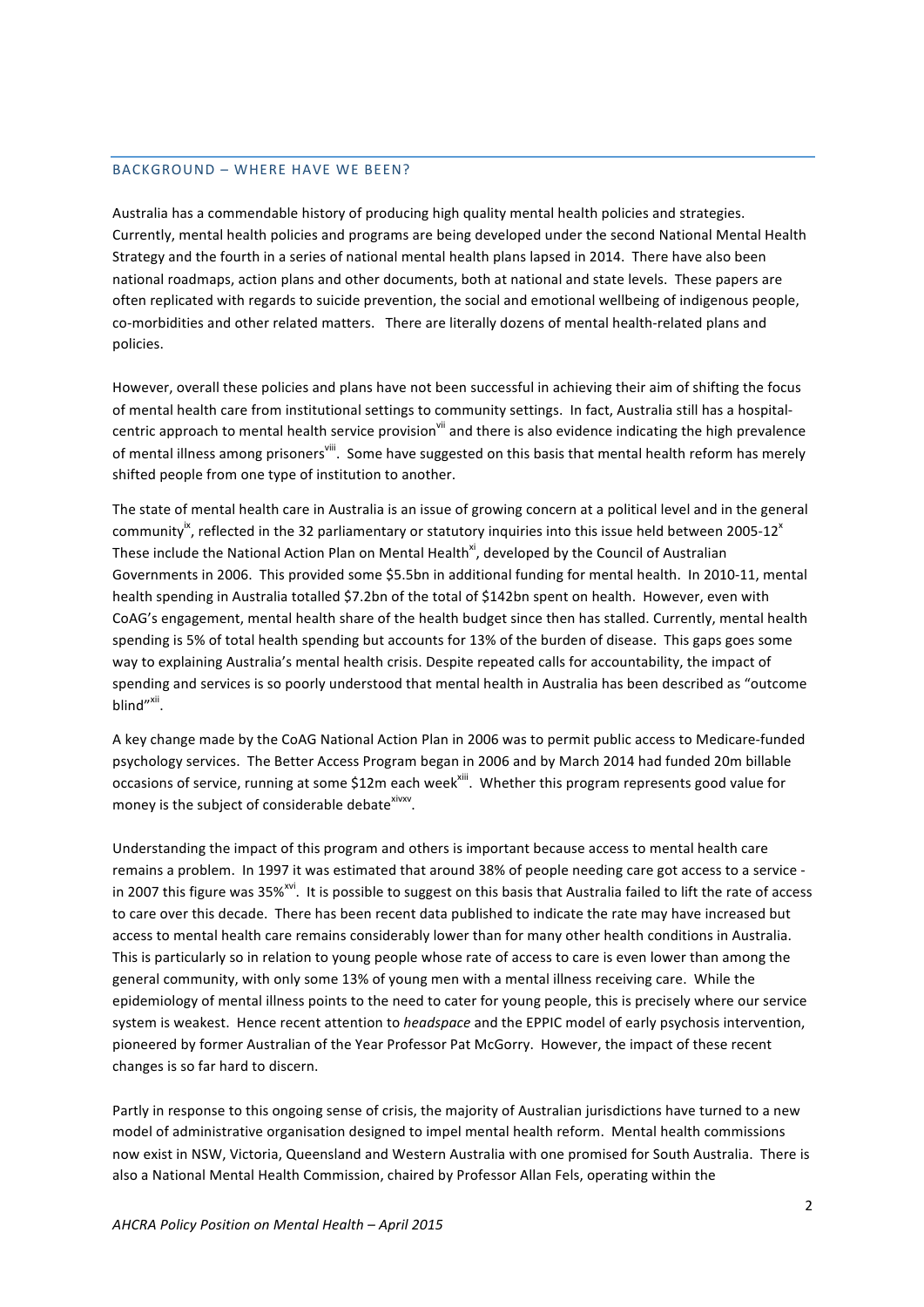#### BACKGROUND - WHERE HAVE WE BEEN?

Australia has a commendable history of producing high quality mental health policies and strategies. Currently, mental health policies and programs are being developed under the second National Mental Health Strategy and the fourth in a series of national mental health plans lapsed in 2014. There have also been national roadmaps, action plans and other documents, both at national and state levels. These papers are often replicated with regards to suicide prevention, the social and emotional wellbeing of indigenous people, co-morbidities and other related matters. There are literally dozens of mental health-related plans and policies.

However, overall these policies and plans have not been successful in achieving their aim of shifting the focus of mental health care from institutional settings to community settings. In fact, Australia still has a hospitalcentric approach to mental health service provision<sup>vii</sup> and there is also evidence indicating the high prevalence of mental illness among prisoners<sup>viii</sup>. Some have suggested on this basis that mental health reform has merely shifted people from one type of institution to another.

The state of mental health care in Australia is an issue of growing concern at a political level and in the general community<sup>ix</sup>, reflected in the 32 parliamentary or statutory inquiries into this issue held between 2005-12<sup>x</sup> These include the National Action Plan on Mental Health<sup>xi</sup>, developed by the Council of Australian Governments in 2006. This provided some \$5.5bn in additional funding for mental health. In 2010-11, mental health spending in Australia totalled \$7.2bn of the total of \$142bn spent on health. However, even with CoAG's engagement, mental health share of the health budget since then has stalled. Currently, mental health spending is 5% of total health spending but accounts for 13% of the burden of disease. This gaps goes some way to explaining Australia's mental health crisis. Despite repeated calls for accountability, the impact of spending and services is so poorly understood that mental health in Australia has been described as "outcome blind"<sup>xii</sup>.

A key change made by the CoAG National Action Plan in 2006 was to permit public access to Medicare-funded psychology services. The Better Access Program began in 2006 and by March 2014 had funded 20m billable occasions of service, running at some \$12m each week<sup>xiii</sup>. Whether this program represents good value for money is the subject of considerable debate<sup>xivxv</sup>.

Understanding the impact of this program and others is important because access to mental health care remains a problem. In 1997 it was estimated that around 38% of people needing care got access to a service in 2007 this figure was 35%<sup>xvi</sup>. It is possible to suggest on this basis that Australia failed to lift the rate of access to care over this decade. There has been recent data published to indicate the rate may have increased but access to mental health care remains considerably lower than for many other health conditions in Australia. This is particularly so in relation to young people whose rate of access to care is even lower than among the general community, with only some 13% of young men with a mental illness receiving care. While the epidemiology of mental illness points to the need to cater for young people, this is precisely where our service system is weakest. Hence recent attention to *headspace* and the EPPIC model of early psychosis intervention, pioneered by former Australian of the Year Professor Pat McGorry. However, the impact of these recent changes is so far hard to discern.

Partly in response to this ongoing sense of crisis, the majority of Australian jurisdictions have turned to a new model of administrative organisation designed to impel mental health reform. Mental health commissions now exist in NSW, Victoria, Queensland and Western Australia with one promised for South Australia. There is also a National Mental Health Commission, chaired by Professor Allan Fels, operating within the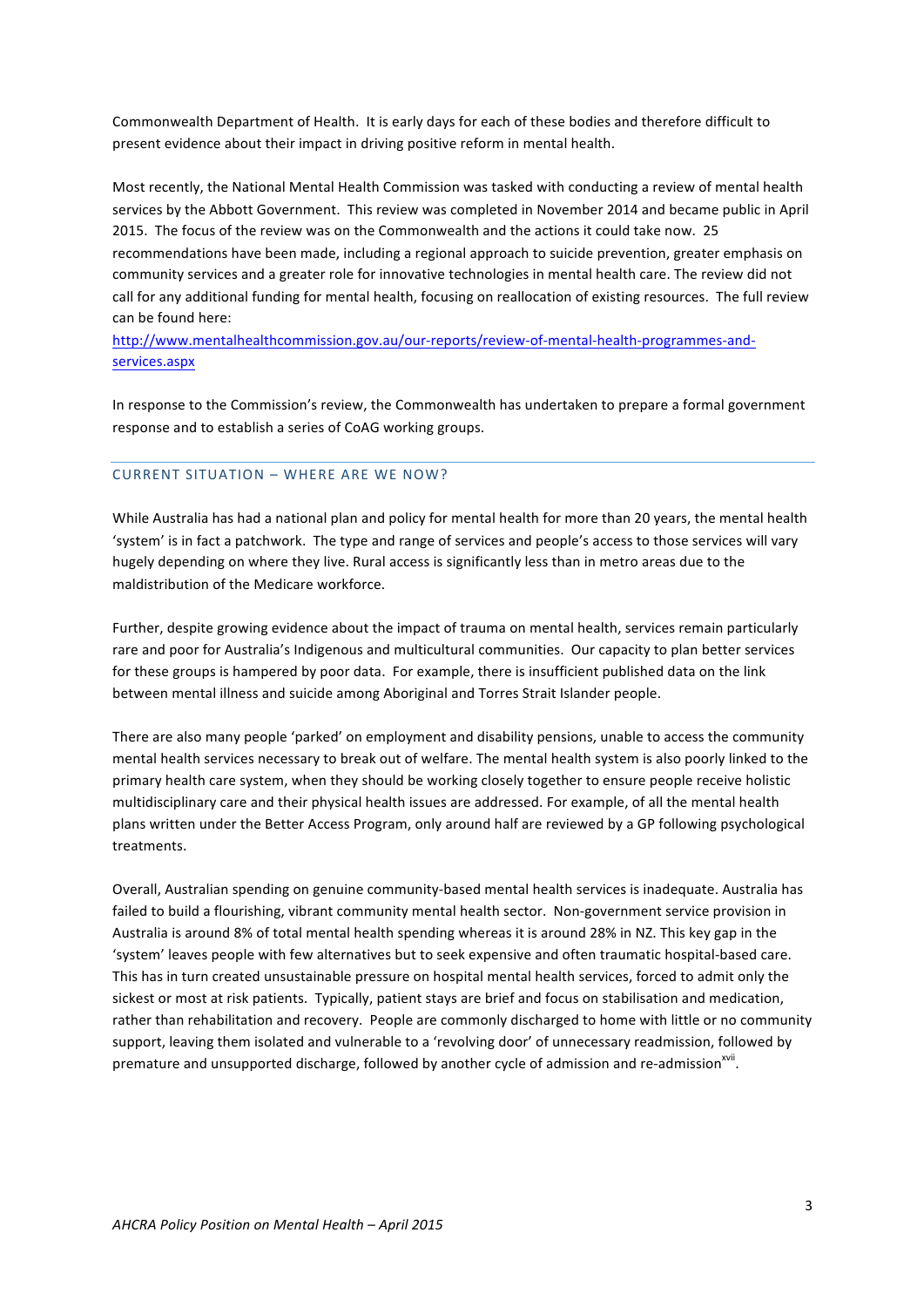Commonwealth Department of Health. It is early days for each of these bodies and therefore difficult to present evidence about their impact in driving positive reform in mental health.

Most recently, the National Mental Health Commission was tasked with conducting a review of mental health services by the Abbott Government. This review was completed in November 2014 and became public in April 2015. The focus of the review was on the Commonwealth and the actions it could take now. 25 recommendations have been made, including a regional approach to suicide prevention, greater emphasis on community services and a greater role for innovative technologies in mental health care. The review did not call for any additional funding for mental health, focusing on reallocation of existing resources. The full review can be found here:

http://www.mentalhealthcommission.gov.au/our-reports/review-of-mental-health-programmes-andservices.aspx

In response to the Commission's review, the Commonwealth has undertaken to prepare a formal government response and to establish a series of CoAG working groups.

#### CURRENT SITUATION – WHERE ARE WE NOW?

While Australia has had a national plan and policy for mental health for more than 20 years, the mental health 'system' is in fact a patchwork. The type and range of services and people's access to those services will vary hugely depending on where they live. Rural access is significantly less than in metro areas due to the maldistribution of the Medicare workforce.

Further, despite growing evidence about the impact of trauma on mental health, services remain particularly rare and poor for Australia's Indigenous and multicultural communities. Our capacity to plan better services for these groups is hampered by poor data. For example, there is insufficient published data on the link between mental illness and suicide among Aboriginal and Torres Strait Islander people.

There are also many people 'parked' on employment and disability pensions, unable to access the community mental health services necessary to break out of welfare. The mental health system is also poorly linked to the primary health care system, when they should be working closely together to ensure people receive holistic multidisciplinary care and their physical health issues are addressed. For example, of all the mental health plans written under the Better Access Program, only around half are reviewed by a GP following psychological treatments.

Overall, Australian spending on genuine community-based mental health services is inadequate. Australia has failed to build a flourishing, vibrant community mental health sector. Non-government service provision in Australia is around 8% of total mental health spending whereas it is around 28% in NZ. This key gap in the 'system' leaves people with few alternatives but to seek expensive and often traumatic hospital-based care. This has in turn created unsustainable pressure on hospital mental health services, forced to admit only the sickest or most at risk patients. Typically, patient stays are brief and focus on stabilisation and medication, rather than rehabilitation and recovery. People are commonly discharged to home with little or no community support, leaving them isolated and vulnerable to a 'revolving door' of unnecessary readmission, followed by premature and unsupported discharge, followed by another cycle of admission and re-admission<sup>xvii</sup>.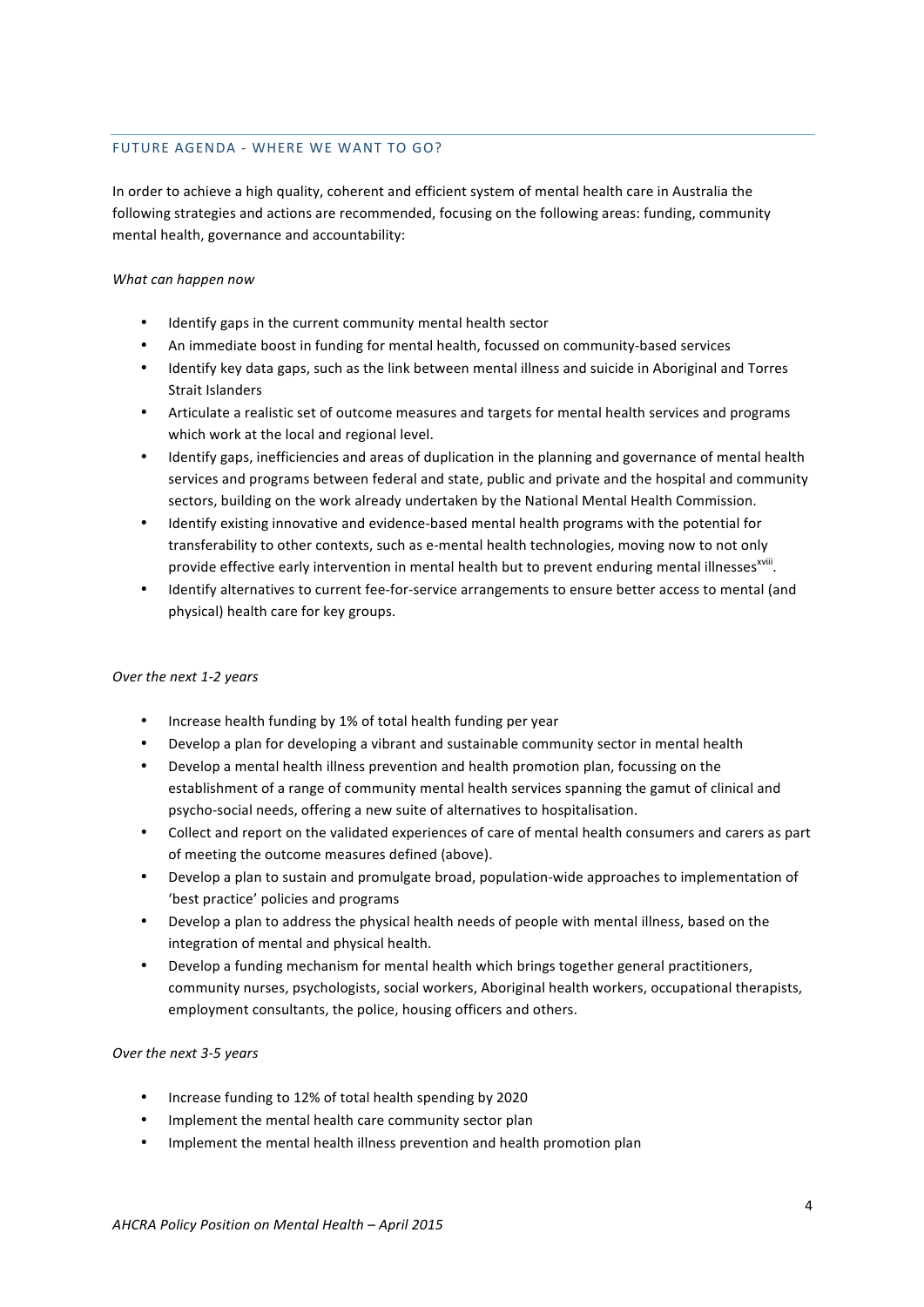## FUTURE AGENDA - WHERE WE WANT TO GO?

In order to achieve a high quality, coherent and efficient system of mental health care in Australia the following strategies and actions are recommended, focusing on the following areas: funding, community mental health, governance and accountability:

#### *What can happen now*

- Identify gaps in the current community mental health sector
- An immediate boost in funding for mental health, focussed on community-based services
- Identify key data gaps, such as the link between mental illness and suicide in Aboriginal and Torres Strait Islanders
- Articulate a realistic set of outcome measures and targets for mental health services and programs which work at the local and regional level.
- Identify gaps, inefficiencies and areas of duplication in the planning and governance of mental health services and programs between federal and state, public and private and the hospital and community sectors, building on the work already undertaken by the National Mental Health Commission.
- Identify existing innovative and evidence-based mental health programs with the potential for transferability to other contexts, such as e-mental health technologies, moving now to not only provide effective early intervention in mental health but to prevent enduring mental illnesses<sup>xviii</sup>.
- Identify alternatives to current fee-for-service arrangements to ensure better access to mental (and physical) health care for key groups.

# *Over the next 1-2 years*

- Increase health funding by 1% of total health funding per year
- Develop a plan for developing a vibrant and sustainable community sector in mental health
- Develop a mental health illness prevention and health promotion plan, focussing on the establishment of a range of community mental health services spanning the gamut of clinical and psycho-social needs, offering a new suite of alternatives to hospitalisation.
- Collect and report on the validated experiences of care of mental health consumers and carers as part of meeting the outcome measures defined (above).
- Develop a plan to sustain and promulgate broad, population-wide approaches to implementation of 'best practice' policies and programs
- Develop a plan to address the physical health needs of people with mental illness, based on the integration of mental and physical health.
- Develop a funding mechanism for mental health which brings together general practitioners, community nurses, psychologists, social workers, Aboriginal health workers, occupational therapists, employment consultants, the police, housing officers and others.

# *Over the next 3-5 years*

- Increase funding to 12% of total health spending by 2020
- Implement the mental health care community sector plan
- Implement the mental health illness prevention and health promotion plan